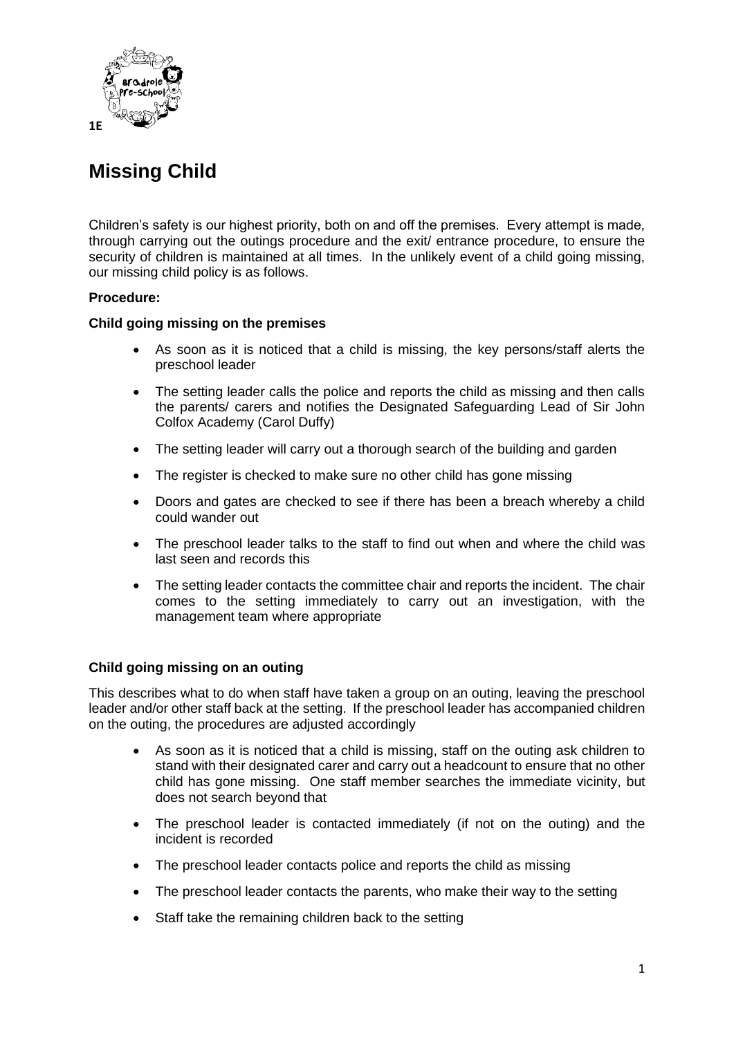

# **Missing Child**

Children's safety is our highest priority, both on and off the premises. Every attempt is made, through carrying out the outings procedure and the exit/ entrance procedure, to ensure the security of children is maintained at all times. In the unlikely event of a child going missing, our missing child policy is as follows.

# **Procedure:**

# **Child going missing on the premises**

- As soon as it is noticed that a child is missing, the key persons/staff alerts the preschool leader
- The setting leader calls the police and reports the child as missing and then calls the parents/ carers and notifies the Designated Safeguarding Lead of Sir John Colfox Academy (Carol Duffy)
- The setting leader will carry out a thorough search of the building and garden
- The register is checked to make sure no other child has gone missing
- Doors and gates are checked to see if there has been a breach whereby a child could wander out
- The preschool leader talks to the staff to find out when and where the child was last seen and records this
- The setting leader contacts the committee chair and reports the incident. The chair comes to the setting immediately to carry out an investigation, with the management team where appropriate

### **Child going missing on an outing**

This describes what to do when staff have taken a group on an outing, leaving the preschool leader and/or other staff back at the setting. If the preschool leader has accompanied children on the outing, the procedures are adjusted accordingly

- As soon as it is noticed that a child is missing, staff on the outing ask children to stand with their designated carer and carry out a headcount to ensure that no other child has gone missing. One staff member searches the immediate vicinity, but does not search beyond that
- The preschool leader is contacted immediately (if not on the outing) and the incident is recorded
- The preschool leader contacts police and reports the child as missing
- The preschool leader contacts the parents, who make their way to the setting
- Staff take the remaining children back to the setting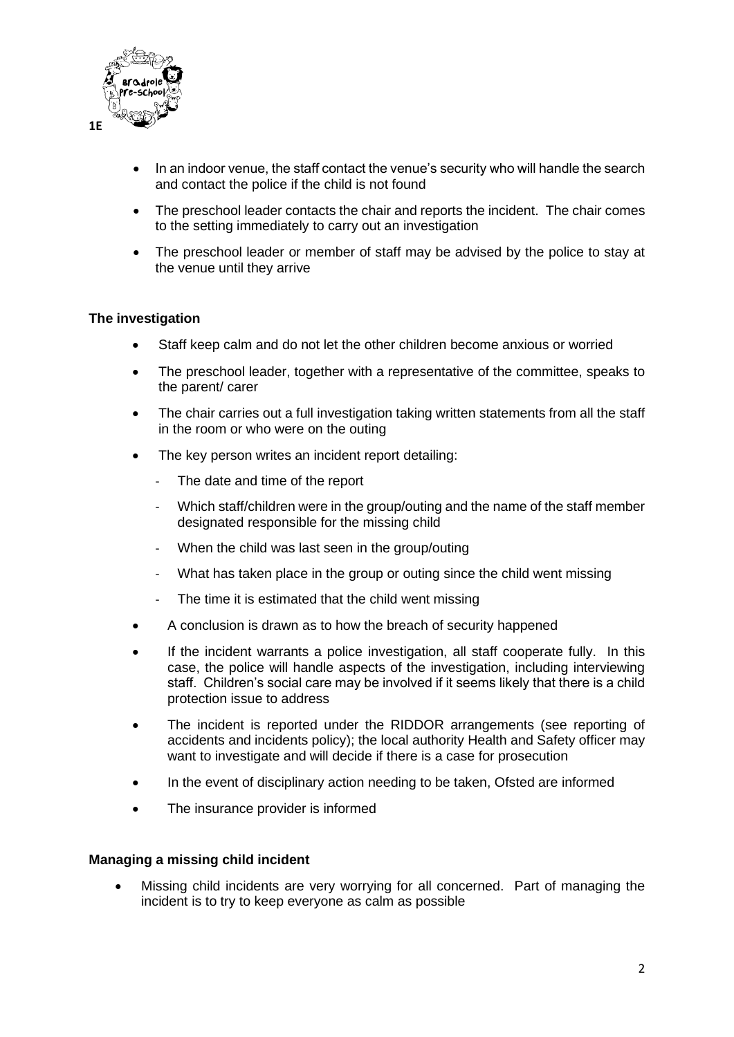

- In an indoor venue, the staff contact the venue's security who will handle the search and contact the police if the child is not found
- The preschool leader contacts the chair and reports the incident. The chair comes to the setting immediately to carry out an investigation
- The preschool leader or member of staff may be advised by the police to stay at the venue until they arrive

### **The investigation**

- Staff keep calm and do not let the other children become anxious or worried
- The preschool leader, together with a representative of the committee, speaks to the parent/ carer
- The chair carries out a full investigation taking written statements from all the staff in the room or who were on the outing
- The key person writes an incident report detailing:
	- The date and time of the report
	- Which staff/children were in the group/outing and the name of the staff member designated responsible for the missing child
	- When the child was last seen in the group/outing
	- What has taken place in the group or outing since the child went missing
	- The time it is estimated that the child went missing
- A conclusion is drawn as to how the breach of security happened
- If the incident warrants a police investigation, all staff cooperate fully. In this case, the police will handle aspects of the investigation, including interviewing staff. Children's social care may be involved if it seems likely that there is a child protection issue to address
- The incident is reported under the RIDDOR arrangements (see reporting of accidents and incidents policy); the local authority Health and Safety officer may want to investigate and will decide if there is a case for prosecution
- In the event of disciplinary action needing to be taken, Ofsted are informed
- The insurance provider is informed

#### **Managing a missing child incident**

• Missing child incidents are very worrying for all concerned. Part of managing the incident is to try to keep everyone as calm as possible